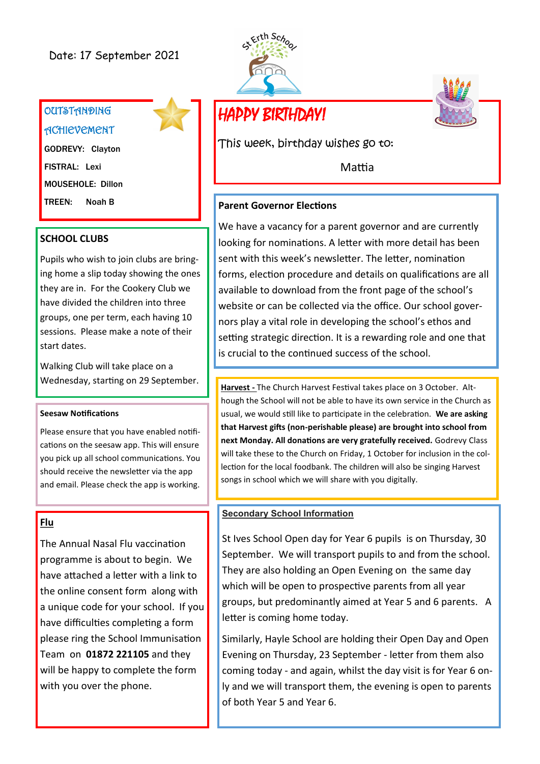# Date: 17 September 2021

# **OUTSTANDING ACHIEVEMENT**

GODREVY: Clayton FISTRAL: Lexi MOUSEHOLE: Dillon TREEN: Noah B

#### **SCHOOL CLUBS**

Pupils who wish to join clubs are bringing home a slip today showing the ones they are in. For the Cookery Club we have divided the children into three groups, one per term, each having 10 sessions. Please make a note of their start dates.

Walking Club will take place on a Wednesday, starting on 29 September.

#### **Seesaw Notifications**

Please ensure that you have enabled notifications on the seesaw app. This will ensure you pick up all school communications. You should receive the newsletter via the app and email. Please check the app is working.

## **Flu**

The Annual Nasal Flu vaccination programme is about to begin. We have attached a letter with a link to the online consent form along with a unique code for your school. If you have difficulties completing a form please ring the School Immunisation Team on **01872 221105** and they will be happy to complete the form with you over the phone.





This week, birthday wishes go to:

Mattia

#### **Parent Governor Elections**

We have a vacancy for a parent governor and are currently looking for nominations. A letter with more detail has been sent with this week's newsletter. The letter, nomination forms, election procedure and details on qualifications are all available to download from the front page of the school's website or can be collected via the office. Our school governors play a vital role in developing the school's ethos and setting strategic direction. It is a rewarding role and one that is crucial to the continued success of the school.

**Harvest -** The Church Harvest Festival takes place on 3 October. Although the School will not be able to have its own service in the Church as usual, we would still like to participate in the celebration. **We are asking that Harvest gifts (non-perishable please) are brought into school from next Monday. All donations are very gratefully received.** Godrevy Class will take these to the Church on Friday, 1 October for inclusion in the collection for the local foodbank. The children will also be singing Harvest songs in school which we will share with you digitally.

#### **Secondary School Information**

St Ives School Open day for Year 6 pupils is on Thursday, 30 September. We will transport pupils to and from the school. They are also holding an Open Evening on the same day which will be open to prospective parents from all year groups, but predominantly aimed at Year 5 and 6 parents. A letter is coming home today.

Similarly, Hayle School are holding their Open Day and Open Evening on Thursday, 23 September - letter from them also coming today - and again, whilst the day visit is for Year 6 only and we will transport them, the evening is open to parents of both Year 5 and Year 6.